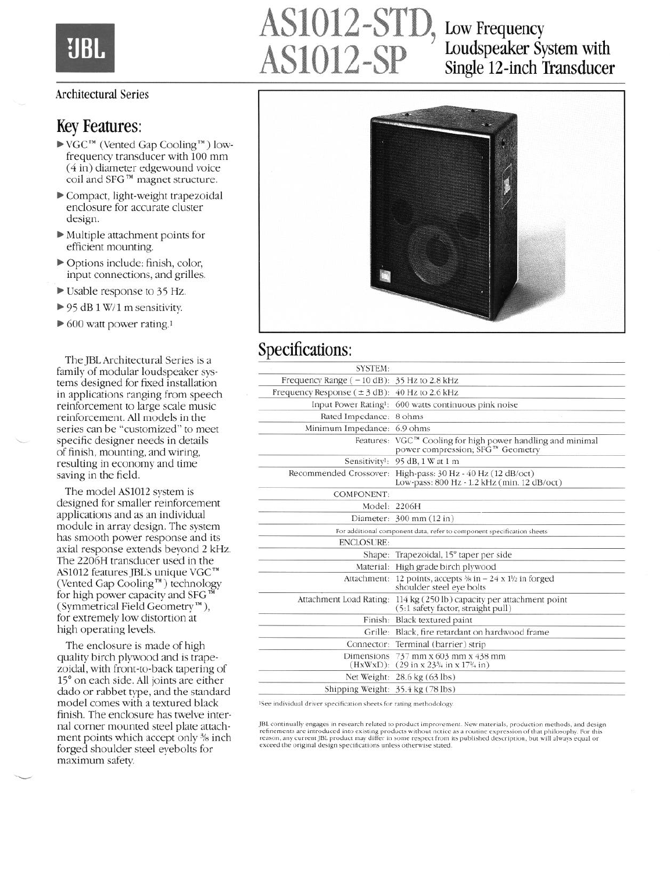# EJBI

# AS1012-STD, Low Frequency<br>AS1012-SP Loudspeaker Sy Loudspeaker System with Single 12-inch Transducer

#### Architectural Series

#### Key Features:

- $\blacktriangleright$  VGC<sup>TM</sup> (Vented Gap Cooling<sup>TM</sup>) lowfrequency transducer with 100 mm (4 in) diameter edgewound voice coil and SFG<sup>TM</sup> magnet structure.
- b Compact, light-weight trapezoidal enclosure for accurate cluster design.
- $\blacktriangleright$  Multiple attachment points for efficient mounting.
- b Options include: finish, color, input connections, and grilles.
- b Usable response to 35 Hz.
- $\triangleright$  95 dB 1 W/1 m sensitivity.
- $\triangleright$  600 watt power rating.<sup>1</sup>

The JBL Architectural Series is a family of modular loudspeaker systems designed for fixed installation in applications ranging from speech reinforcement to large scale music reinforcement. All models in the series can be "customized" to meet specific designer needs in details of finish, mounting, and wiring, resulting in economy and time saving in the field.

The model AS1012 system is designed for smaller reinforcement applications and as an individual module in array design. The system has smooth power response and its axial response extends beyond 2 kHz. The 2206H transducer used in the AS1012 features JBL's unique VGC™ (Vented Gap Cooling'") technology for high power capacity and SFG<sup>1</sup> (Symmetrical Field Geometry'"), for extremely low distortion at high operating levels.

The enclosure is made of high quality birch plywood and is trapezoidal, with front-to-back tapering of 15" on each side. All joints are either dado or rabbet type, and the standard model comes with a textured black finish. The enclosure has twelve internal corner mounted steel plate attachment points which accept only 3/8 inch forged shoulder steel eyebolts for maximum safety.

\*-



### Specifications:

| <b>SYSTEM:</b>                                    |                                                                                                                            |
|---------------------------------------------------|----------------------------------------------------------------------------------------------------------------------------|
| Frequency Range $(-10 dB)$ : 35 Hz to 2.8 kHz     |                                                                                                                            |
| Frequency Response $(\pm 3$ dB): 40 Hz to 2.6 kHz |                                                                                                                            |
|                                                   | Input Power Rating <sup>1</sup> : 600 watts continuous pink noise                                                          |
| Rated Impedance: 8 ohms                           |                                                                                                                            |
| Minimum Impedance: 6.9 ohms                       |                                                                                                                            |
|                                                   | Features: VGC™ Cooling for high power handling and minimal<br>power compression; SFG™ Geometry                             |
|                                                   | Sensitivity <sup>1</sup> : 95 dB, 1 W at 1 m                                                                               |
| Recommended Crossover:                            | High-pass: 30 Hz - 40 Hz (12 dB/oct)<br>Low-pass: 800 Hz - 1.2 kHz (min. 12 dB/oct)                                        |
| <b>COMPONENT:</b>                                 |                                                                                                                            |
| Model: 2206H                                      |                                                                                                                            |
|                                                   | Diameter: 300 mm (12 in)                                                                                                   |
|                                                   | For additional component data, refer to component specification sheets                                                     |
| <b>ENCLOSURE:</b>                                 |                                                                                                                            |
|                                                   | Shape: Trapezoidal, 15° taper per side                                                                                     |
|                                                   | Material: High grade birch plywood                                                                                         |
|                                                   | Attachment: 12 points, accepts $\frac{1}{2}$ in - 24 x 1 <sup>1</sup> / <sub>2</sub> in forged<br>shoulder steel eve bolts |
| Attachment Load Rating:                           | 114 kg (250 lb) capacity per attachment point<br>(5:1 safety factor, straight pull)                                        |
|                                                   | Finish: Black textured paint                                                                                               |
|                                                   | Grille: Black, fire retardant on hardwood frame                                                                            |
|                                                   | Connector: Terminal (barrier) strip                                                                                        |
| Dimensions                                        | 737 mm x 603 mm x 438 mm<br>$(HxWxD):$ (29 in x 23 <sup>3</sup> / <sub>4</sub> in x 17 <sup>1</sup> / <sub>4</sub> in)     |
|                                                   | Net Weight: 28.6 kg (63 lbs)                                                                                               |
| Shipping Weight: 35.4 kg (78 lbs)                 |                                                                                                                            |

ISce individual driver specification sheets for rating methodology.

JBL continually engages in research related to product improvement. New materials, production methods, and design refinements are introduced into existing products without notice as a routine expression of that philosophy. For thi<br>reason, any current JBL product may differ in some respect from its published description, but will alway exceed the original design specifications unless otherwise stated